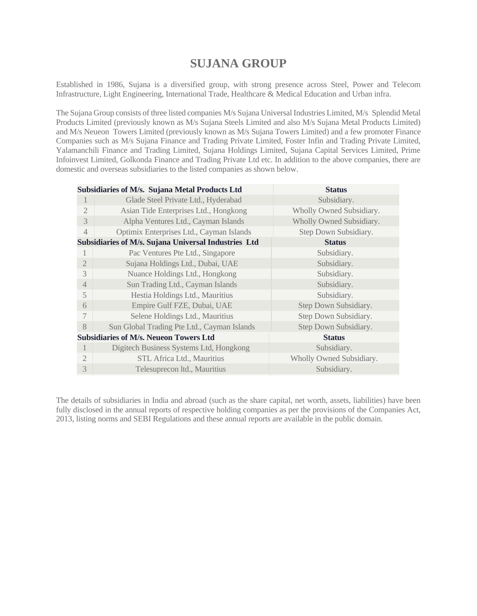# **SUJANA GROUP**

Established in 1986, Sujana is a diversified group, with strong presence across Steel, Power and Telecom Infrastructure, Light Engineering, International Trade, Healthcare & Medical Education and Urban infra.

The Sujana Group consists of three listed companies M/s Sujana Universal Industries Limited, M/s Splendid Metal Products Limited (previously known as M/s Sujana Steels Limited and also M/s Sujana Metal Products Limited) and M/s Neueon Towers Limited (previously known as M/s Sujana Towers Limited) and a few promoter Finance Companies such as M/s Sujana Finance and Trading Private Limited, Foster Infin and Trading Private Limited, Yalamanchili Finance and Trading Limited, Sujana Holdings Limited, Sujana Capital Services Limited, Prime Infoinvest Limited, Golkonda Finance and Trading Private Ltd etc. In addition to the above companies, there are domestic and overseas subsidiaries to the listed companies as shown below.

|                | Subsidiaries of M/s. Sujana Metal Products Ltd       | <b>Status</b>            |
|----------------|------------------------------------------------------|--------------------------|
| 1              | Glade Steel Private Ltd., Hyderabad                  | Subsidiary.              |
| $\overline{2}$ | Asian Tide Enterprises Ltd., Hongkong                | Wholly Owned Subsidiary. |
| 3              | Alpha Ventures Ltd., Cayman Islands                  | Wholly Owned Subsidiary. |
| $\overline{4}$ | Optimix Enterprises Ltd., Cayman Islands             | Step Down Subsidiary.    |
|                | Subsidiaries of M/s. Sujana Universal Industries Ltd | <b>Status</b>            |
| 1              | Pac Ventures Pte Ltd., Singapore                     | Subsidiary.              |
| $\mathfrak{D}$ | Sujana Holdings Ltd., Dubai, UAE                     | Subsidiary.              |
| 3              | Nuance Holdings Ltd., Hongkong                       | Subsidiary.              |
| $\overline{4}$ | Sun Trading Ltd., Cayman Islands                     | Subsidiary.              |
| 5              | Hestia Holdings Ltd., Mauritius                      | Subsidiary.              |
| 6              | Empire Gulf FZE, Dubai, UAE                          | Step Down Subsidiary.    |
| 7              | Selene Holdings Ltd., Mauritius                      | Step Down Subsidiary.    |
| 8              | Sun Global Trading Pte Ltd., Cayman Islands          | Step Down Subsidiary.    |
|                | <b>Subsidiaries of M/s. Neueon Towers Ltd</b>        | <b>Status</b>            |
| 1              | Digitech Business Systems Ltd, Hongkong              | Subsidiary.              |
| $\overline{2}$ | STL Africa Ltd., Mauritius                           | Wholly Owned Subsidiary. |
| 3              | Telesuprecon ltd., Mauritius                         | Subsidiary.              |
|                |                                                      |                          |

The details of subsidiaries in India and abroad (such as the share capital, net worth, assets, liabilities) have been fully disclosed in the annual reports of respective holding companies as per the provisions of the Companies Act, 2013, listing norms and SEBI Regulations and these annual reports are available in the public domain.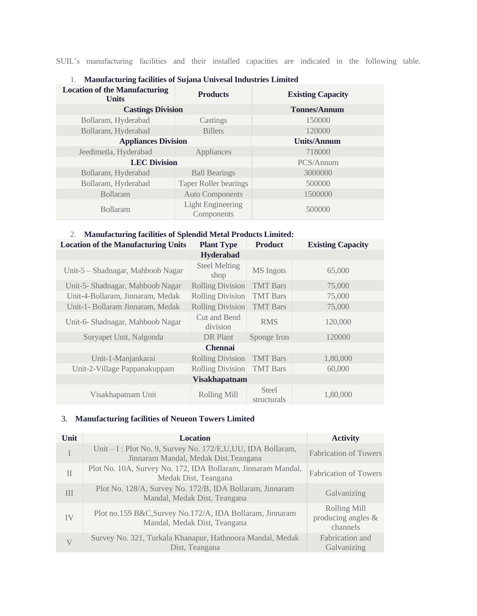SUIL's manufacturing facilities and their installed capacities are indicated in the following table.

| <b>Location of the Manufacturing</b><br><b>Units</b> | <b>Products</b>                        | <b>Existing Capacity</b> |
|------------------------------------------------------|----------------------------------------|--------------------------|
| <b>Castings Division</b>                             |                                        | <b>Tonnes/Annum</b>      |
| Bollaram, Hyderabad                                  | Castings                               | 150000                   |
| Bollaram, Hyderabad                                  | <b>Billets</b>                         | 120000                   |
| <b>Appliances Division</b>                           | <b>Units/Annum</b>                     |                          |
| Jeedimetla, Hyderabad                                | Appliances                             | 718000                   |
| <b>LEC Division</b>                                  | PCS/Annum                              |                          |
| Bollaram, Hyderabad                                  | <b>Ball Bearings</b>                   | 3000000                  |
| Bollaram, Hyderabad                                  | <b>Taper Roller bearings</b>           | 500000                   |
| <b>Bollaram</b>                                      | <b>Auto Components</b>                 | 1500000                  |
| <b>Bollaram</b>                                      | <b>Light Engineering</b><br>Components | 500000                   |

#### 1. **Manufacturing facilities of Sujana Univesal Industries Limited**

#### 2. **Manufacturing facilities of Splendid Metal Products Limited:**

| <b>Location of the Manufacturing Units</b> | <b>Plant Type</b>            | <b>Product</b>       | <b>Existing Capacity</b> |  |  |  |
|--------------------------------------------|------------------------------|----------------------|--------------------------|--|--|--|
| <b>Hyderabad</b>                           |                              |                      |                          |  |  |  |
| Unit-5 - Shadnagar, Mahboob Nagar          | <b>Steel Melting</b><br>shop | MS Ingots            | 65,000                   |  |  |  |
| Unit-5- Shadnagar, Mahboob Nagar           | <b>Rolling Division</b>      | <b>TMT</b> Bars      | 75,000                   |  |  |  |
| Unit-4-Bollaram, Jinnaram, Medak           | <b>Rolling Division</b>      | <b>TMT</b> Bars      | 75,000                   |  |  |  |
| Unit-1- Bollaram Jinnaram, Medak           | <b>Rolling Division</b>      | <b>TMT</b> Bars      | 75,000                   |  |  |  |
| Unit-6- Shadnagar, Mahboob Nagar           | Cut and Bend<br>division     | <b>RMS</b>           | 120,000                  |  |  |  |
| Suryapet Unit, Nalgonda                    | DR Plant                     | Sponge Iron          | 120000                   |  |  |  |
| <b>Chennai</b>                             |                              |                      |                          |  |  |  |
| Unit-1-Manjankarai                         | <b>Rolling Division</b>      | <b>TMT</b> Bars      | 1,80,000                 |  |  |  |
| Unit-2-Village Pappanakuppam               | <b>Rolling Division</b>      | <b>TMT</b> Bars      | 60,000                   |  |  |  |
| <b>Visakhapatnam</b>                       |                              |                      |                          |  |  |  |
| Visakhapatnam Unit                         | <b>Rolling Mill</b>          | Steel<br>structurals | 1,80,000                 |  |  |  |

#### 3. **Manufacturing facilities of Neueon Towers Limited**

| Unit         | <b>Location</b>                                                                                     | <b>Activity</b>                                       |
|--------------|-----------------------------------------------------------------------------------------------------|-------------------------------------------------------|
| T            | Unit – I: Plot No. 9, Survey No. 172/E,U,UU, IDA Bollaram,<br>Jinnaram Mandal, Medak Dist. Teangana | <b>Fabrication of Towers</b>                          |
| $\mathbf{I}$ | Plot No. 10A, Survey No. 172, IDA Bollaram, Jinnaram Mandal,<br>Medak Dist, Teangana                | <b>Fabrication of Towers</b>                          |
| Ш            | Plot No. 128/A, Survey No. 172/B, IDA Bollaram, Jinnaram<br>Mandal, Medak Dist, Teangana            | Galvanizing                                           |
| IV           | Plot no.159 B&C, Survey No.172/A, IDA Bollaram, Jinnaram<br>Mandal, Medak Dist, Teangana            | <b>Rolling Mill</b><br>producing angles &<br>channels |
| V            | Survey No. 321, Turkala Khanapur, Hathnoora Mandal, Medak<br>Dist, Teangana                         | Fabrication and<br>Galvanizing                        |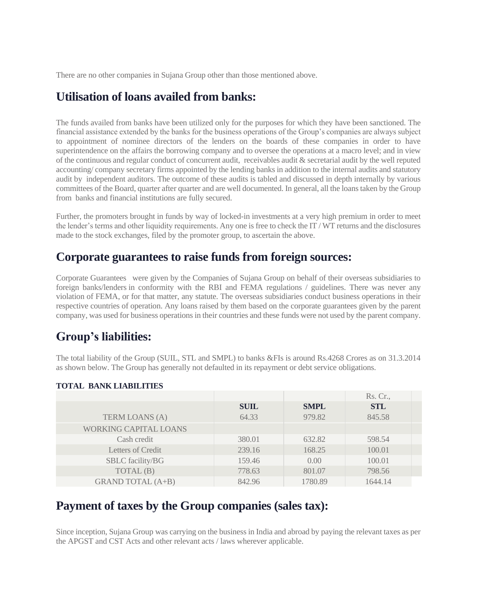There are no other companies in Sujana Group other than those mentioned above.

# **Utilisation of loans availed from banks:**

The funds availed from banks have been utilized only for the purposes for which they have been sanctioned. The financial assistance extended by the banks for the business operations of the Group's companies are always subject to appointment of nominee directors of the lenders on the boards of these companies in order to have superintendence on the affairs the borrowing company and to oversee the operations at a macro level; and in view of the continuous and regular conduct of concurrent audit, receivables audit & secretarial audit by the well reputed accounting/ company secretary firms appointed by the lending banks in addition to the internal audits and statutory audit by independent auditors. The outcome of these audits is tabled and discussed in depth internally by various committees of the Board, quarter after quarter and are well documented. In general, all the loans taken by the Group from banks and financial institutions are fully secured.

Further, the promoters brought in funds by way of locked-in investments at a very high premium in order to meet the lender's terms and other liquidity requirements. Any one is free to check the IT / WT returns and the disclosures made to the stock exchanges, filed by the promoter group, to ascertain the above.

#### **Corporate guarantees to raise funds from foreign sources:**

Corporate Guarantees were given by the Companies of Sujana Group on behalf of their overseas subsidiaries to foreign banks/lenders in conformity with the RBI and FEMA regulations / guidelines. There was never any violation of FEMA, or for that matter, any statute. The overseas subsidiaries conduct business operations in their respective countries of operation. Any loans raised by them based on the corporate guarantees given by the parent company, was used for business operations in their countries and these funds were not used by the parent company.

# **Group's liabilities:**

The total liability of the Group (SUIL, STL and SMPL) to banks &FIs is around Rs.4268 Crores as on 31.3.2014 as shown below. The Group has generally not defaulted in its repayment or debt service obligations.

# **TOTAL BANK LIABILITIES**

|                              |             |             | Rs. Cr.,   |
|------------------------------|-------------|-------------|------------|
|                              | <b>SUIL</b> | <b>SMPL</b> | <b>STL</b> |
| <b>TERM LOANS (A)</b>        | 64.33       | 979.82      | 845.58     |
| <b>WORKING CAPITAL LOANS</b> |             |             |            |
| Cash credit                  | 380.01      | 632.82      | 598.54     |
| Letters of Credit            | 239.16      | 168.25      | 100.01     |
| SBLC facility/BG             | 159.46      | 0.00        | 100.01     |
| TOTAL (B)                    | 778.63      | 801.07      | 798.56     |
| <b>GRAND TOTAL (A+B)</b>     | 842.96      | 1780.89     | 1644.14    |

### **Payment of taxes by the Group companies (sales tax):**

Since inception, Sujana Group was carrying on the business in India and abroad by paying the relevant taxes as per the APGST and CST Acts and other relevant acts / laws wherever applicable.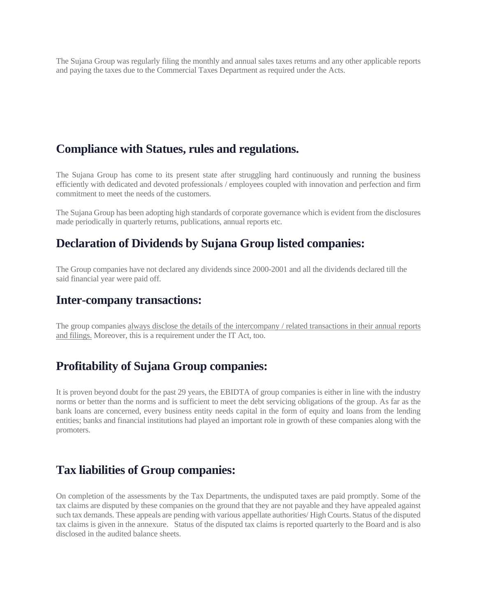The Sujana Group was regularly filing the monthly and annual sales taxes returns and any other applicable reports and paying the taxes due to the Commercial Taxes Department as required under the Acts.

### **Compliance with Statues, rules and regulations.**

The Sujana Group has come to its present state after struggling hard continuously and running the business efficiently with dedicated and devoted professionals / employees coupled with innovation and perfection and firm commitment to meet the needs of the customers.

The Sujana Group has been adopting high standards of corporate governance which is evident from the disclosures made periodically in quarterly returns, publications, annual reports etc.

# **Declaration of Dividends by Sujana Group listed companies:**

The Group companies have not declared any dividends since 2000-2001 and all the dividends declared till the said financial year were paid off.

#### **Inter-company transactions:**

The group companies always disclose the details of the intercompany / related transactions in their annual reports and filings. Moreover, this is a requirement under the IT Act, too.

# **Profitability of Sujana Group companies:**

It is proven beyond doubt for the past 29 years, the EBIDTA of group companies is either in line with the industry norms or better than the norms and is sufficient to meet the debt servicing obligations of the group. As far as the bank loans are concerned, every business entity needs capital in the form of equity and loans from the lending entities; banks and financial institutions had played an important role in growth of these companies along with the promoters.

#### **Tax liabilities of Group companies:**

On completion of the assessments by the Tax Departments, the undisputed taxes are paid promptly. Some of the tax claims are disputed by these companies on the ground that they are not payable and they have appealed against such tax demands. These appeals are pending with various appellate authorities/ High Courts. Status of the disputed tax claims is given in the annexure. Status of the disputed tax claims is reported quarterly to the Board and is also disclosed in the audited balance sheets.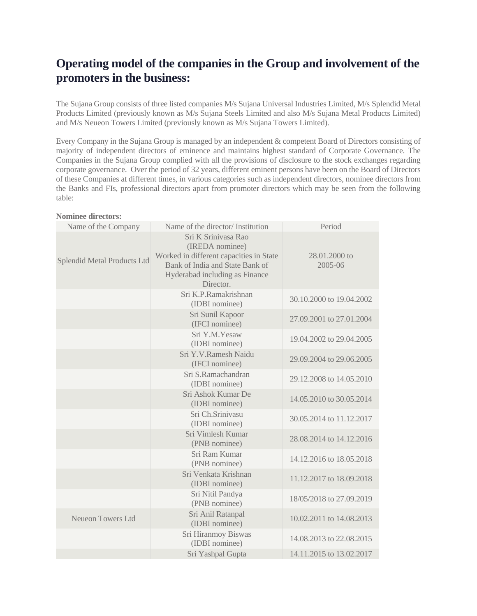# **Operating model of the companies in the Group and involvement of the promoters in the business:**

The Sujana Group consists of three listed companies M/s Sujana Universal Industries Limited, M/s Splendid Metal Products Limited (previously known as M/s Sujana Steels Limited and also M/s Sujana Metal Products Limited) and M/s Neueon Towers Limited (previously known as M/s Sujana Towers Limited).

Every Company in the Sujana Group is managed by an independent & competent Board of Directors consisting of majority of independent directors of eminence and maintains highest standard of Corporate Governance. The Companies in the Sujana Group complied with all the provisions of disclosure to the stock exchanges regarding corporate governance. Over the period of 32 years, different eminent persons have been on the Board of Directors of these Companies at different times, in various categories such as independent directors, nominee directors from the Banks and FIs, professional directors apart from promoter directors which may be seen from the following table:

**Nominee directors:**

| Name of the Company         | Name of the director/Institution                                                                                                                                    | Period                   |
|-----------------------------|---------------------------------------------------------------------------------------------------------------------------------------------------------------------|--------------------------|
| Splendid Metal Products Ltd | Sri K Srinivasa Rao<br>(IREDA nominee)<br>Worked in different capacities in State<br>Bank of India and State Bank of<br>Hyderabad including as Finance<br>Director. | 28.01.2000 to<br>2005-06 |
|                             | Sri K.P.Ramakrishnan<br>(IDBI nominee)                                                                                                                              | 30.10.2000 to 19.04.2002 |
|                             | Sri Sunil Kapoor<br>(IFCI nominee)                                                                                                                                  | 27.09.2001 to 27.01.2004 |
|                             | Sri Y.M.Yesaw<br>(IDBI nominee)                                                                                                                                     | 19.04.2002 to 29.04.2005 |
|                             | Sri Y.V.Ramesh Naidu<br>(IFCI nominee)                                                                                                                              | 29.09.2004 to 29.06.2005 |
|                             | Sri S.Ramachandran<br>(IDBI nominee)                                                                                                                                | 29.12.2008 to 14.05.2010 |
|                             | Sri Ashok Kumar De<br>(IDBI nominee)                                                                                                                                | 14.05.2010 to 30.05.2014 |
|                             | Sri Ch.Srinivasu<br>(IDBI nominee)                                                                                                                                  | 30.05.2014 to 11.12.2017 |
|                             | Sri Vimlesh Kumar<br>(PNB nominee)                                                                                                                                  | 28.08.2014 to 14.12.2016 |
|                             | Sri Ram Kumar<br>(PNB nominee)                                                                                                                                      | 14.12.2016 to 18.05.2018 |
|                             | Sri Venkata Krishnan<br>(IDBI nominee)                                                                                                                              | 11.12.2017 to 18.09.2018 |
|                             | Sri Nitil Pandya<br>(PNB nominee)                                                                                                                                   | 18/05/2018 to 27.09.2019 |
| <b>Neueon Towers Ltd</b>    | Sri Anil Ratanpal<br>(IDBI nominee)                                                                                                                                 | 10.02.2011 to 14.08.2013 |
|                             | Sri Hiranmoy Biswas<br>(IDBI nominee)                                                                                                                               | 14.08.2013 to 22.08.2015 |
|                             | Sri Yashpal Gupta                                                                                                                                                   | 14.11.2015 to 13.02.2017 |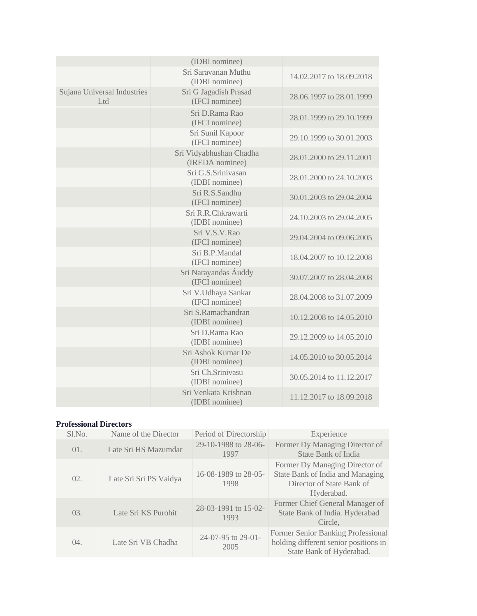|                                    | (IDBI nominee)                             |                          |
|------------------------------------|--------------------------------------------|--------------------------|
|                                    | Sri Saravanan Muthu<br>(IDBI nominee)      | 14.02.2017 to 18.09.2018 |
| Sujana Universal Industries<br>Ltd | Sri G Jagadish Prasad<br>(IFCI nominee)    | 28,06,1997 to 28,01,1999 |
|                                    | Sri D.Rama Rao<br>(IFCI nominee)           | 28.01.1999 to 29.10.1999 |
|                                    | Sri Sunil Kapoor<br>(IFCI nominee)         | 29.10.1999 to 30.01.2003 |
|                                    | Sri Vidyabhushan Chadha<br>(IREDA nominee) | 28.01.2000 to 29.11.2001 |
|                                    | Sri G.S.Sriniyasan<br>(IDBI nominee)       | 28.01.2000 to 24.10.2003 |
|                                    | Sri R.S.Sandhu<br>(IFCI nominee)           | 30.01.2003 to 29.04.2004 |
|                                    | Sri R.R.Chkrawarti<br>(IDBI nominee)       | 24.10.2003 to 29.04.2005 |
|                                    | Sri V.S.V.Rao<br>(IFCI nominee)            | 29.04.2004 to 09.06.2005 |
|                                    | Sri B.P.Mandal<br>(IFCI nominee)           | 18.04.2007 to 10.12.2008 |
|                                    | Sri Narayandas Áuddy<br>(IFCI nominee)     | 30.07.2007 to 28.04.2008 |
|                                    | Sri V.Udhaya Sankar<br>(IFCI nominee)      | 28.04.2008 to 31.07.2009 |
|                                    | Sri S.Ramachandran<br>(IDBI nominee)       | 10.12.2008 to 14.05.2010 |
|                                    | Sri D.Rama Rao<br>(IDBI nominee)           | 29.12.2009 to 14.05.2010 |
|                                    | Sri Ashok Kumar De<br>(IDBI nominee)       | 14.05.2010 to 30.05.2014 |
|                                    | Sri Ch.Srinivasu<br>(IDBI nominee)         | 30.05.2014 to 11.12.2017 |
|                                    | Sri Venkata Krishnan<br>(IDBI nominee)     | 11.12.2017 to 18.09.2018 |

#### **Professional Directors**

| S1.No. | Name of the Director   | Period of Directorship       | Experience                                                                                                    |
|--------|------------------------|------------------------------|---------------------------------------------------------------------------------------------------------------|
| 01.    | Late Sri HS Mazumdar   | 29-10-1988 to 28-06-<br>1997 | Former Dy Managing Director of<br>State Bank of India                                                         |
| 02.    | Late Sri Sri PS Vaidya | 16-08-1989 to 28-05-<br>1998 | Former Dy Managing Director of<br>State Bank of India and Managing<br>Director of State Bank of<br>Hyderabad. |
| 03.    | Late Sri KS Purohit    | 28-03-1991 to 15-02-<br>1993 | Former Chief General Manager of<br>State Bank of India. Hyderabad<br>Circle,                                  |
| 04.    | Late Sri VB Chadha     | 24-07-95 to 29-01-<br>2005   | Former Senior Banking Professional<br>holding different senior positions in<br>State Bank of Hyderabad.       |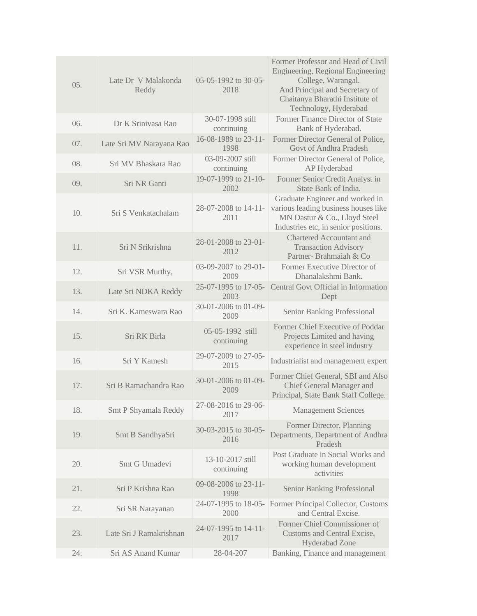| 05. | Late Dr V Malakonda<br>Reddy | 05-05-1992 to 30-05-<br>2018   | Former Professor and Head of Civil<br>Engineering, Regional Engineering<br>College, Warangal.<br>And Principal and Secretary of<br>Chaitanya Bharathi Institute of<br>Technology, Hyderabad |
|-----|------------------------------|--------------------------------|---------------------------------------------------------------------------------------------------------------------------------------------------------------------------------------------|
| 06. | Dr K Sriniyasa Rao           | 30-07-1998 still<br>continuing | Former Finance Director of State<br>Bank of Hyderabad.                                                                                                                                      |
| 07. | Late Sri MV Narayana Rao     | 16-08-1989 to 23-11-<br>1998   | Former Director General of Police,<br>Govt of Andhra Pradesh                                                                                                                                |
| 08. | Sri MV Bhaskara Rao          | 03-09-2007 still<br>continuing | Former Director General of Police,<br>AP Hyderabad                                                                                                                                          |
| 09. | Sri NR Ganti                 | 19-07-1999 to 21-10-<br>2002   | Former Senior Credit Analyst in<br>State Bank of India.                                                                                                                                     |
| 10. | Sri S Venkatachalam          | 28-07-2008 to 14-11-<br>2011   | Graduate Engineer and worked in<br>various leading business houses like<br>MN Dastur & Co., Lloyd Steel<br>Industries etc, in senior positions.                                             |
| 11. | Sri N Srikrishna             | 28-01-2008 to 23-01-<br>2012   | <b>Chartered Accountant and</b><br><b>Transaction Advisory</b><br>Partner-Brahmaiah & Co                                                                                                    |
| 12. | Sri VSR Murthy,              | 03-09-2007 to 29-01-<br>2009   | Former Executive Director of<br>Dhanalakshmi Bank.                                                                                                                                          |
| 13. | Late Sri NDKA Reddy          | 25-07-1995 to 17-05-<br>2003   | Central Govt Official in Information<br>Dept                                                                                                                                                |
| 14. | Sri K. Kameswara Rao         | 30-01-2006 to 01-09-<br>2009   | <b>Senior Banking Professional</b>                                                                                                                                                          |
| 15. | Sri RK Birla                 | 05-05-1992 still<br>continuing | Former Chief Executive of Poddar<br>Projects Limited and having<br>experience in steel industry                                                                                             |
| 16. | Sri Y Kamesh                 | 29-07-2009 to 27-05-<br>2015   | Industrialist and management expert                                                                                                                                                         |
| 17. | Sri B Ramachandra Rao        | 30-01-2006 to 01-09-<br>2009   | Former Chief General, SBI and Also<br><b>Chief General Manager and</b><br>Principal, State Bank Staff College.                                                                              |
| 18. | <b>Smt P Shyamala Reddy</b>  | 27-08-2016 to 29-06-<br>2017   | <b>Management Sciences</b>                                                                                                                                                                  |
| 19. | Smt B SandhyaSri             | 30-03-2015 to 30-05-<br>2016   | Former Director, Planning<br>Departments, Department of Andhra<br>Pradesh                                                                                                                   |
| 20. | Smt G Umadevi                | 13-10-2017 still<br>continuing | Post Graduate in Social Works and<br>working human development<br>activities                                                                                                                |
| 21. | Sri P Krishna Rao            | 09-08-2006 to 23-11-<br>1998   | <b>Senior Banking Professional</b>                                                                                                                                                          |
| 22. | Sri SR Narayanan             | 24-07-1995 to 18-05-<br>2000   | Former Principal Collector, Customs<br>and Central Excise.                                                                                                                                  |
| 23. | Late Sri J Ramakrishnan      | 24-07-1995 to 14-11-<br>2017   | Former Chief Commissioner of<br>Customs and Central Excise,<br><b>Hyderabad Zone</b>                                                                                                        |
| 24. | Sri AS Anand Kumar           | 28-04-207                      | Banking, Finance and management                                                                                                                                                             |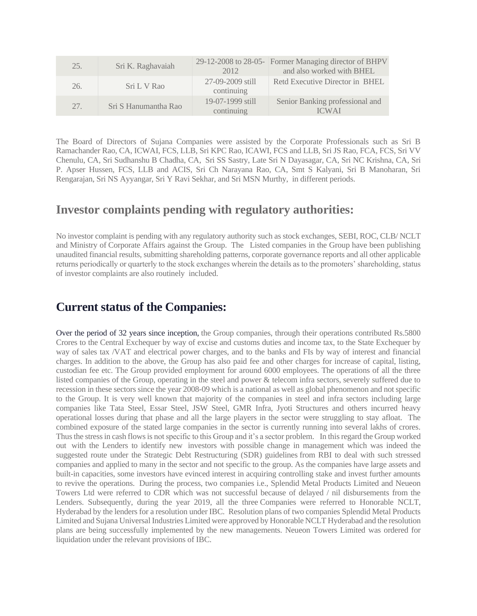| 25. | Sri K. Raghavaiah    | 2012                           | 29-12-2008 to 28-05- Former Managing director of BHPV<br>and also worked with BHEL |
|-----|----------------------|--------------------------------|------------------------------------------------------------------------------------|
| 26. | Sri L V Rao          | 27-09-2009 still<br>continuing | Retd Executive Director in BHEL                                                    |
| 27. | Sri S Hanumantha Rao | 19-07-1999 still<br>continuing | Senior Banking professional and<br><b>ICWAI</b>                                    |

The Board of Directors of Sujana Companies were assisted by the Corporate Professionals such as Sri B Ramachander Rao, CA, ICWAI, FCS, LLB, Sri KPC Rao, ICAWI, FCS and LLB, Sri JS Rao, FCA, FCS, Sri VV Chenulu, CA, Sri Sudhanshu B Chadha, CA, Sri SS Sastry, Late Sri N Dayasagar, CA, Sri NC Krishna, CA, Sri P. Apser Hussen, FCS, LLB and ACIS, Sri Ch Narayana Rao, CA, Smt S Kalyani, Sri B Manoharan, Sri Rengarajan, Sri NS Ayyangar, Sri Y Ravi Sekhar, and Sri MSN Murthy, in different periods.

### **Investor complaints pending with regulatory authorities:**

No investor complaint is pending with any regulatory authority such as stock exchanges, SEBI, ROC, CLB/ NCLT and Ministry of Corporate Affairs against the Group. The Listed companies in the Group have been publishing unaudited financial results, submitting shareholding patterns, corporate governance reports and all other applicable returns periodically or quarterly to the stock exchanges wherein the details as to the promoters' shareholding, status of investor complaints are also routinely included.

# **Current status of the Companies:**

Over the period of 32 years since inception, the Group companies, through their operations contributed Rs.5800 Crores to the Central Exchequer by way of excise and customs duties and income tax, to the State Exchequer by way of sales tax /VAT and electrical power charges, and to the banks and FIs by way of interest and financial charges. In addition to the above, the Group has also paid fee and other charges for increase of capital, listing, custodian fee etc. The Group provided employment for around 6000 employees. The operations of all the three listed companies of the Group, operating in the steel and power & telecom infra sectors, severely suffered due to recession in these sectors since the year 2008-09 which is a national as well as global phenomenon and not specific to the Group. It is very well known that majority of the companies in steel and infra sectors including large companies like Tata Steel, Essar Steel, JSW Steel, GMR Infra, Jyoti Structures and others incurred heavy operational losses during that phase and all the large players in the sector were struggling to stay afloat. The combined exposure of the stated large companies in the sector is currently running into several lakhs of crores. Thus the stress in cash flows is not specific to this Group and it's a sector problem. In this regard the Group worked out with the Lenders to identify new investors with possible change in management which was indeed the suggested route under the Strategic Debt Restructuring (SDR) guidelines from RBI to deal with such stressed companies and applied to many in the sector and not specific to the group. As the companies have large assets and built-in capacities, some investors have evinced interest in acquiring controlling stake and invest further amounts to revive the operations. During the process, two companies i.e., Splendid Metal Products Limited and Neueon Towers Ltd were referred to CDR which was not successful because of delayed / nil disbursements from the Lenders. Subsequently, during the year 2019, all the three Companies were referred to Honorable NCLT, Hyderabad by the lenders for a resolution under IBC. Resolution plans of two companies Splendid Metal Products Limited and Sujana Universal Industries Limited were approved by Honorable NCLT Hyderabad and the resolution plans are being successfully implemented by the new managements. Neueon Towers Limited was ordered for liquidation under the relevant provisions of IBC.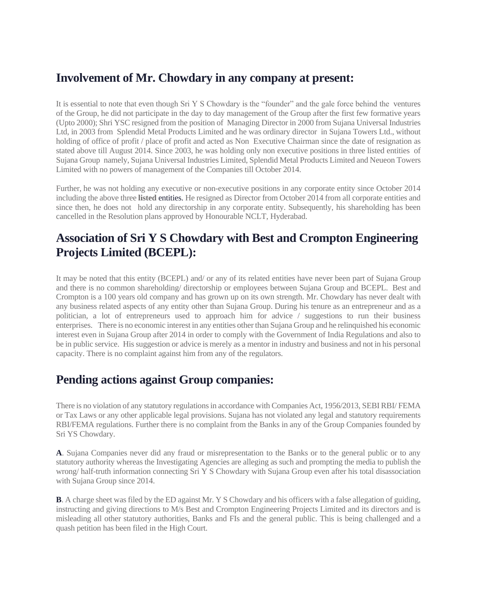# **Involvement of Mr. Chowdary in any company at present:**

It is essential to note that even though Sri Y S Chowdary is the "founder" and the gale force behind the ventures of the Group, he did not participate in the day to day management of the Group after the first few formative years (Upto 2000); Shri YSC resigned from the position of Managing Director in 2000 from Sujana Universal Industries Ltd, in 2003 from Splendid Metal Products Limited and he was ordinary director in Sujana Towers Ltd., without holding of office of profit / place of profit and acted as Non Executive Chairman since the date of resignation as stated above till August 2014. Since 2003, he was holding only non executive positions in three listed entities of Sujana Group namely, Sujana Universal Industries Limited, Splendid Metal Products Limited and Neueon Towers Limited with no powers of management of the Companies till October 2014.

Further, he was not holding any executive or non-executive positions in any corporate entity since October 2014 including the above three **listed** entities. He resigned as Director from October 2014 from all corporate entities and since then, he does not hold any directorship in any corporate entity. Subsequently, his shareholding has been cancelled in the Resolution plans approved by Honourable NCLT, Hyderabad.

# **Association of Sri Y S Chowdary with Best and Crompton Engineering Projects Limited (BCEPL):**

It may be noted that this entity (BCEPL) and/ or any of its related entities have never been part of Sujana Group and there is no common shareholding/ directorship or employees between Sujana Group and BCEPL. Best and Crompton is a 100 years old company and has grown up on its own strength. Mr. Chowdary has never dealt with any business related aspects of any entity other than Sujana Group. During his tenure as an entrepreneur and as a politician, a lot of entrepreneurs used to approach him for advice / suggestions to run their business enterprises. There is no economic interest in any entities other than Sujana Group and he relinquished his economic interest even in Sujana Group after 2014 in order to comply with the Government of India Regulations and also to be in public service. His suggestion or advice is merely as a mentor in industry and business and not in his personal capacity. There is no complaint against him from any of the regulators.

# **Pending actions against Group companies:**

There is no violation of any statutory regulations in accordance with Companies Act, 1956/2013, SEBI RBI/ FEMA or Tax Laws or any other applicable legal provisions. Sujana has not violated any legal and statutory requirements RBI/FEMA regulations. Further there is no complaint from the Banks in any of the Group Companies founded by Sri YS Chowdary.

**A**. Sujana Companies never did any fraud or misrepresentation to the Banks or to the general public or to any statutory authority whereas the Investigating Agencies are alleging as such and prompting the media to publish the wrong/ half-truth information connecting Sri Y S Chowdary with Sujana Group even after his total disassociation with Sujana Group since 2014.

**B**. A charge sheet was filed by the ED against Mr. Y S Chowdary and his officers with a false allegation of guiding, instructing and giving directions to M/s Best and Crompton Engineering Projects Limited and its directors and is misleading all other statutory authorities, Banks and FIs and the general public. This is being challenged and a quash petition has been filed in the High Court.